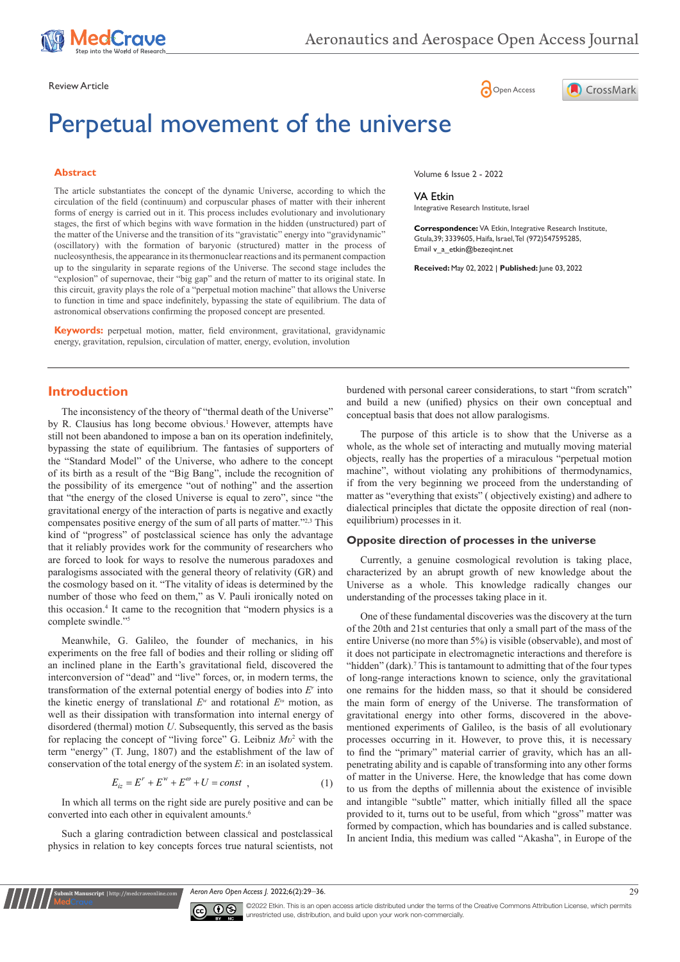

Review Article **Contracts** Contracts and Contracts Contracts Contracts Contracts Contracts Contracts Contracts Contracts Contracts Contracts Contracts Contracts Contracts Contracts Contracts Contracts Contracts Contracts C

# Perpetual movement of the universe

#### **Abstract**

The article substantiates the concept of the dynamic Universe, according to which the circulation of the field (continuum) and corpuscular phases of matter with their inherent forms of energy is carried out in it. This process includes evolutionary and involutionary stages, the first of which begins with wave formation in the hidden (unstructured) part of the matter of the Universe and the transition of its "gravistatic" energy into "gravidynamic" (oscillatory) with the formation of baryonic (structured) matter in the process of nucleosynthesis, the appearance in its thermonuclear reactions and its permanent compaction up to the singularity in separate regions of the Universe. The second stage includes the "explosion" of supernovae, their "big gap" and the return of matter to its original state. In this circuit, gravity plays the role of a "perpetual motion machine" that allows the Universe to function in time and space indefinitely, bypassing the state of equilibrium. The data of astronomical observations confirming the proposed concept are presented.

**Keywords:** perpetual motion, matter, field environment, gravitational, gravidynamic energy, gravitation, repulsion, circulation of matter, energy, evolution, involution



Volume 6 Issue 2 - 2022

VA Etkin Integrative Research Institute, Israel

**Correspondence:** VA Etkin, Integrative Research Institute, Gtula,39; 3339605, Haifa, Israel, Tel (972)547595285, Email v\_a\_etkin@bezeqint.net

**Received:** May 02, 2022 | **Published:** June 03, 2022

# **Introduction**

The inconsistency of the theory of "thermal death of the Universe" by R. Clausius has long become obvious.<sup>1</sup> However, attempts have still not been abandoned to impose a ban on its operation indefinitely, bypassing the state of equilibrium. The fantasies of supporters of the "Standard Model" of the Universe, who adhere to the concept of its birth as a result of the "Big Bang", include the recognition of the possibility of its emergence "out of nothing" and the assertion that "the energy of the closed Universe is equal to zero", since "the gravitational energy of the interaction of parts is negative and exactly compensates positive energy of the sum of all parts of matter."2,3 This kind of "progress" of postclassical science has only the advantage that it reliably provides work for the community of researchers who are forced to look for ways to resolve the numerous paradoxes and paralogisms associated with the general theory of relativity (GR) and the cosmology based on it. "The vitality of ideas is determined by the number of those who feed on them," as V. Pauli ironically noted on this occasion.4 It came to the recognition that "modern physics is a complete swindle."5

Meanwhile, G. Galileo, the founder of mechanics, in his experiments on the free fall of bodies and their rolling or sliding off an inclined plane in the Earth's gravitational field, discovered the interconversion of "dead" and "live" forces, or, in modern terms, the transformation of the external potential energy of bodies into *Er* into the kinetic energy of translational *Ew* and rotational *E<sup>ω</sup>* motion, as well as their dissipation with transformation into internal energy of disordered (thermal) motion *U*. Subsequently, this served as the basis for replacing the concept of "living force" G. Leibniz *Mυ*<sup>2</sup> with the term "energy" (T. Jung, 1807) and the establishment of the law of conservation of the total energy of the system *E*: in an isolated system.

$$
E_{iz} = E^r + E^w + E^{\omega} + U = const \quad , \tag{1}
$$

In which all terms on the right side are purely positive and can be converted into each other in equivalent amounts.<sup>6</sup>

Such a glaring contradiction between classical and postclassical physics in relation to key concepts forces true natural scientists, not

**it Manuscript** | http://medcraveonline.

burdened with personal career considerations, to start "from scratch" and build a new (unified) physics on their own conceptual and conceptual basis that does not allow paralogisms.

The purpose of this article is to show that the Universe as a whole, as the whole set of interacting and mutually moving material objects, really has the properties of a miraculous "perpetual motion machine", without violating any prohibitions of thermodynamics, if from the very beginning we proceed from the understanding of matter as "everything that exists" ( objectively existing) and adhere to dialectical principles that dictate the opposite direction of real (nonequilibrium) processes in it.

### **Opposite direction of processes in the universe**

Currently, a genuine cosmological revolution is taking place, characterized by an abrupt growth of new knowledge about the Universe as a whole. This knowledge radically changes our understanding of the processes taking place in it.

One of these fundamental discoveries was the discovery at the turn of the 20th and 21st centuries that only a small part of the mass of the entire Universe (no more than 5%) is visible (observable), and most of it does not participate in electromagnetic interactions and therefore is "hidden" (dark).<sup>7</sup> This is tantamount to admitting that of the four types of long-range interactions known to science, only the gravitational one remains for the hidden mass, so that it should be considered the main form of energy of the Universe. The transformation of gravitational energy into other forms, discovered in the abovementioned experiments of Galileo, is the basis of all evolutionary processes occurring in it. However, to prove this, it is necessary to find the "primary" material carrier of gravity, which has an allpenetrating ability and is capable of transforming into any other forms of matter in the Universe. Here, the knowledge that has come down to us from the depths of millennia about the existence of invisible and intangible "subtle" matter, which initially filled all the space provided to it, turns out to be useful, from which "gross" matter was formed by compaction, which has boundaries and is called substance. In ancient India, this medium was called "Akasha", in Europe of the

*Aeron Aero Open Access J.* 2022;6(2):29‒36. 29



©2022 Etkin. This is an open access article distributed under the terms of the Creative Commons Attribution License, which permits unrestricted use, distribution, and build upon your work non-commercially.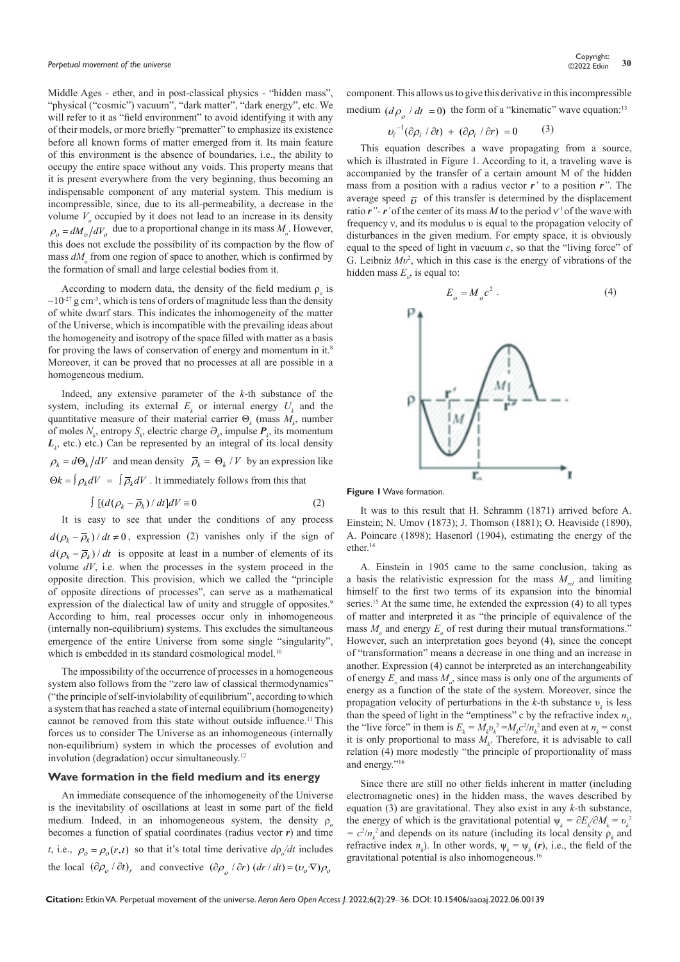Middle Ages - ether, and in post-classical physics - "hidden mass", "physical ("cosmic") vacuum", "dark matter", "dark energy", etc. We will refer to it as "field environment" to avoid identifying it with any of their models, or more briefly "prematter" to emphasize its existence before all known forms of matter emerged from it. Its main feature of this environment is the absence of boundaries, i.e., the ability to occupy the entire space without any voids. This property means that it is present everywhere from the very beginning, thus becoming an indispensable component of any material system. This medium is incompressible, since, due to its all-permeability, a decrease in the volume  $V<sub>o</sub>$  occupied by it does not lead to an increase in its density  $\rho_o = dM_o/dV_o$  due to a proportional change in its mass  $M_o$ . However, this does not exclude the possibility of its compaction by the flow of mass  $dM$ <sub>o</sub> from one region of space to another, which is confirmed by the formation of small and large celestial bodies from it.

According to modern data, the density of the field medium  $\rho_o$  is  $\sim$ 10<sup>-27</sup> g cm<sup>-3</sup>, which is tens of orders of magnitude less than the density of white dwarf stars. This indicates the inhomogeneity of the matter of the Universe, which is incompatible with the prevailing ideas about the homogeneity and isotropy of the space filled with matter as a basis for proving the laws of conservation of energy and momentum in it.<sup>8</sup> Moreover, it can be proved that no processes at all are possible in a homogeneous medium.

Indeed, any extensive parameter of the *k*-th substance of the system, including its external  $E_k$  or internal energy  $U_k$  and the quantitative measure of their material carrier  $\Theta_k$  (mass  $M_k$ , number of moles  $N_k$ , entropy  $S_k$ , electric charge  $\Theta_k$ , impulse  $P_k$ , its momentum  $L_k$ , etc.) etc.) Can be represented by an integral of its local density  $\rho_k = d\Theta_k/dV$  and mean density  $\overline{\rho}_k = \Theta_k/V$  by an expression like  $\Theta k = \int \rho_k dV = \int \overline{\rho}_k dV$ . It immediately follows from this that

$$
\int \left[ \left( d\left(\rho_k - \overline{\rho}_k\right) / dt \right] dV = 0 \right] \tag{2}
$$

It is easy to see that under the conditions of any process  $d(\rho_k - \overline{\rho}_k)/dt \neq 0$ , expression (2) vanishes only if the sign of  $d(\rho_k - \overline{\rho}_k) / dt$  is opposite at least in a number of elements of its volume *dV*, i.e. when the processes in the system proceed in the opposite direction. This provision, which we called the "principle of opposite directions of processes", can serve as a mathematical expression of the dialectical law of unity and struggle of opposites.<sup>9</sup> According to him, real processes occur only in inhomogeneous (internally non-equilibrium) systems. This excludes the simultaneous emergence of the entire Universe from some single "singularity", which is embedded in its standard cosmological model.<sup>10</sup>

The impossibility of the occurrence of processes in a homogeneous system also follows from the "zero law of classical thermodynamics" ("the principle of self-inviolability of equilibrium", according to which a system that has reached a state of internal equilibrium (homogeneity) cannot be removed from this state without outside influence.<sup>11</sup> This forces us to consider The Universe as an inhomogeneous (internally non-equilibrium) system in which the processes of evolution and involution (degradation) occur simultaneously.12

## **Wave formation in the field medium and its energy**

An immediate consequence of the inhomogeneity of the Universe is the inevitability of oscillations at least in some part of the field medium. Indeed, in an inhomogeneous system, the density ρ*<sup>о</sup>* becomes a function of spatial coordinates (radius vector *r*) and time *t*, i.e.,  $\rho_o = \rho_o(r,t)$  so that it's total time derivative  $d\rho_o/dt$  includes the local  $(\partial \rho_o / \partial t)_r$  and convective  $(\partial \rho_a / \partial r) (dr / dt) = (v_o \cdot \nabla) \rho_o$ 

component. This allows us to give this derivative in this incompressible medium  $\left( d\rho_{0} / dt = 0 \right)$  the form of a "kinematic" wave equation:<sup>13</sup>

$$
v_i^{-1}(\partial \rho_i / \partial t) + (\partial \rho_i / \partial r) = 0 \qquad (3)
$$

This equation describes a wave propagating from a source, which is illustrated in Figure 1. According to it, a traveling wave is accompanied by the transfer of a certain amount M of the hidden mass from a position with a radius vector *r'* to a position *r"*. The average speed  $\overline{v}$  of this transfer is determined by the displacement ratio  $r''$ -  $r'$  of the center of its mass M to the period  $v<sup>-1</sup>$  of the wave with frequency ν, and its modulus υ is equal to the propagation velocity of disturbances in the given medium. For empty space, it is obviously equal to the speed of light in vacuum *c*, so that the "living force" of G. Leibniz *Mυ*<sup>2</sup> , which in this case is the energy of vibrations of the hidden mass  $E_o$ , is equal to:



**Figure 1** Wave formation.

It was to this result that H. Schramm (1871) arrived before A. Einstein; N. Umov (1873); J. Thomson (1881); O. Heaviside (1890), A. Poincare (1898); Hasenorl (1904), estimating the energy of the ether.14

A. Einstein in 1905 came to the same conclusion, taking as a basis the relativistic expression for the mass *Мrel* and limiting himself to the first two terms of its expansion into the binomial series.<sup>15</sup> At the same time, he extended the expression (4) to all types of matter and interpreted it as "the principle of equivalence of the mass  $M_0$  and energy  $E_0$  of rest during their mutual transformations." However, such an interpretation goes beyond (4), since the concept of "transformation" means a decrease in one thing and an increase in another. Expression (4) cannot be interpreted as an interchangeability of energy  $E_0$  and mass  $M_0$ , since mass is only one of the arguments of energy as a function of the state of the system. Moreover, since the propagation velocity of perturbations in the  $k$ -th substance  $v_k$  is less than the speed of light in the "emptiness" c by the refractive index  $n_k$ , the "live force" in them is  $E_k = M_k v_k^2 = M_k c^2 / n_k^2$  and even at  $n_k = \text{const}$ it is only proportional to mass  $M_k$ . Therefore, it is advisable to call relation (4) more modestly "the principle of proportionality of mass and energy."16

Since there are still no other fields inherent in matter (including electromagnetic ones) in the hidden mass, the waves described by equation (3) are gravitational. They also exist in any *k*-th substance, the energy of which is the gravitational potential  $\psi_k = \partial E_k / \partial M_k = v_k^2$  $= c^2/n_k^2$  and depends on its nature (including its local density  $\rho_k$  and refractive index  $n_k$ ). In other words,  $\psi_k = \psi_k(r)$ , i.e., the field of the gravitational potential is also inhomogeneous.<sup>16</sup>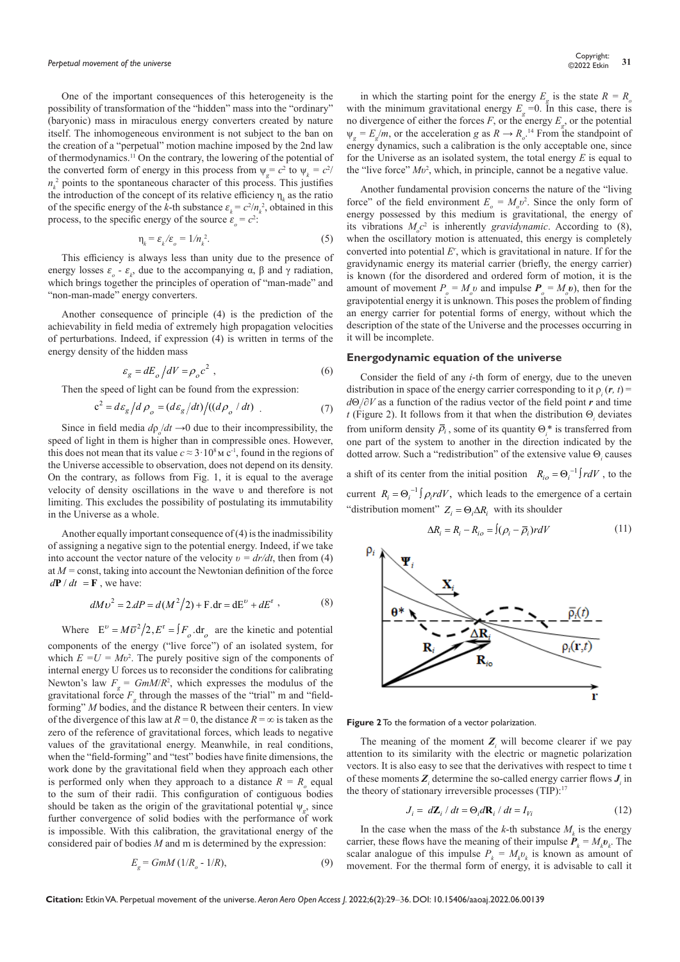One of the important consequences of this heterogeneity is the possibility of transformation of the "hidden" mass into the "ordinary" (baryonic) mass in miraculous energy converters created by nature itself. The inhomogeneous environment is not subject to the ban on the creation of a "perpetual" motion machine imposed by the 2nd law of thermodynamics.11 On the contrary, the lowering of the potential of the converted form of energy in this process from  $\psi_g = c^2$  to  $\psi_k = c^2$  $n_k^2$  points to the spontaneous character of this process. This justifies the introduction of the concept of its relative efficiency  $\eta_k$  as the ratio of the specific energy of the *k*-th substance  $\varepsilon_k = c^2/n_k^2$ , obtained in this process, to the specific energy of the source  $\varepsilon_o = c^2$ :

$$
\eta_k = \varepsilon_k / \varepsilon_o = 1/n_k^2. \tag{5}
$$

This efficiency is always less than unity due to the presence of energy losses  $\varepsilon$ <sub>o</sub> -  $\varepsilon$ <sub>k</sub>, due to the accompanying  $\alpha$ ,  $\beta$  and  $\gamma$  radiation, which brings together the principles of operation of "man-made" and "non-man-made" energy converters.

Another consequence of principle (4) is the prediction of the achievability in field media of extremely high propagation velocities of perturbations. Indeed, if expression (4) is written in terms of the energy density of the hidden mass

$$
\varepsilon_g = dE_o / dV = \rho_o c^2 , \qquad (6)
$$

Then the speed of light can be found from the expression:

$$
c^2 = d\varepsilon_g / d\rho_o = (d\varepsilon_g / dt) / ((d\rho_o / dt) . \tag{7}
$$

Since in field media  $d\rho/dt \rightarrow 0$  due to their incompressibility, the speed of light in them is higher than in compressible ones. However, this does not mean that its value  $c \approx 3.10<sup>8</sup>$  M c<sup>-1</sup>, found in the regions of the Universe accessible to observation, does not depend on its density. On the contrary, as follows from Fig. 1, it is equal to the average velocity of density oscillations in the wave υ and therefore is not limiting. This excludes the possibility of postulating its immutability in the Universe as a whole.

Another equally important consequence of (4) is the inadmissibility of assigning a negative sign to the potential energy. Indeed, if we take into account the vector nature of the velocity  $v = dr/dt$ , then from (4) at *M =* const, taking into account the Newtonian definition of the force  $d\mathbf{P} / dt = \mathbf{F}$ , we have:

$$
dMv^{2} = 2dP = d(M^{2}/2) + F \cdot dr = dE^{v} + dE^{r} \tag{8}
$$

Where  $E^{\nu} = M \overline{v}^2 / 2$ ,  $E^{\text{r}} = \int F_o \, \text{dr}_o$  are the kinetic and potential components of the energy ("live force") of an isolated system, for which  $E = U = Mv^2$ . The purely positive sign of the components of internal energy U forces us to reconsider the conditions for calibrating Newton's law  $F_g = GmM/R^2$ , which expresses the modulus of the gravitational force  $F<sub>g</sub>$  through the masses of the "trial" m and "fieldforming" *M* bodies, and the distance R between their centers. In view of the divergence of this law at  $R = 0$ , the distance  $R = \infty$  is taken as the zero of the reference of gravitational forces, which leads to negative values of the gravitational energy. Meanwhile, in real conditions, when the "field-forming" and "test" bodies have finite dimensions, the work done by the gravitational field when they approach each other is performed only when they approach to a distance  $R = R_0$  equal to the sum of their radii. This configuration of contiguous bodies should be taken as the origin of the gravitational potential  $\psi_{g}$ , since further convergence of solid bodies with the performance of work is impossible. With this calibration, the gravitational energy of the considered pair of bodies *M* and m is determined by the expression:

$$
E_{g} = GmM (1/R_{o} - 1/R), \tag{9}
$$

in which the starting point for the energy  $E_g$  is the state  $R = R_g$ with the minimum gravitational energy  $E<sub>g</sub> = 0$ . In this case, there is no divergence of either the forces  $F$ , or the energy  $E_g$ , or the potential  $\psi_g = E_g / m$ , or the acceleration *g* as  $R \to R_o$ <sup>14</sup> From the standpoint of energy dynamics, such a calibration is the only acceptable one, since for the Universe as an isolated system, the total energy *E* is equal to the "live force" *Mυ*<sup>2</sup> , which, in principle, cannot be a negative value.

Another fundamental provision concerns the nature of the "living force" of the field environment  $E_o = M_o v^2$ . Since the only form of energy possessed by this medium is gravitational, the energy of its vibrations  $M_c c^2$  is inherently *gravidynamic*. According to (8), when the oscillatory motion is attenuated, this energy is completely converted into potential *Er* , which is gravitational in nature. If for the gravidynamic energy its material carrier (briefly, the energy carrier) is known (for the disordered and ordered form of motion, it is the amount of movement  $P_o = M_o v$  and impulse  $P_o = M_o v$ ), then for the gravipotential energy it is unknown. This poses the problem of finding an energy carrier for potential forms of energy, without which the description of the state of the Universe and the processes occurring in it will be incomplete.

#### **Energodynamic equation of the universe**

Consider the field of any *i*-th form of energy, due to the uneven distribution in space of the energy carrier corresponding to it  $\rho_i(r, t)$ *d*Θ*<sup>i</sup>* /∂*V* as a function of the radius vector of the field point *r* and time *t* (Figure 2). It follows from it that when the distribution  $\Theta_i$  deviates from uniform density  $\rho_i$ , some of its quantity  $\Theta_i^*$  is transferred from one part of the system to another in the direction indicated by the dotted arrow. Such a "redistribution" of the extensive value  $\Theta_i$  causes

a shift of its center from the initial position  $R_{i\sigma} = \Theta_i^{-1} \int r dV$ , to the current  $R_i = \Theta_i^{-1} \int \rho_i r dV$ , which leads to the emergence of a certain "distribution moment"  $Z_i = \Theta_i \Delta R_i$  with its shoulder

$$
\Delta R_i = R_i - R_{io} = \int (\rho_i - \overline{\rho}_i) r dV \tag{11}
$$



**Figure 2** To the formation of a vector polarization.

The meaning of the moment  $Z_i$  will become clearer if we pay attention to its similarity with the electric or magnetic polarization vectors. It is also easy to see that the derivatives with respect to time t of these moments  $Z_i$  determine the so-called energy carrier flows  $J_i$  in the theory of stationary irreversible processes (TIP):<sup>17</sup>

$$
J_i = d\mathbf{Z}_i / dt = \Theta_i d\mathbf{R}_i / dt = I_{Vi}
$$
 (12)

In the case when the mass of the *k*-th substance  $M_k$  is the energy carrier, these flows have the meaning of their impulse  $P_k = M_k v_k$ . The scalar analogue of this impulse  $P_k = M_k v_k$  is known as amount of movement. For the thermal form of energy, it is advisable to call it

**Citation:** Etkin VA. Perpetual movement of the universe. *Aeron Aero Open Access J.* 2022;6(2):29‒36. DOI: [10.15406/aaoaj.2022.06.00139](https://doi.org/10.15406/aaoaj.2022.06.00139)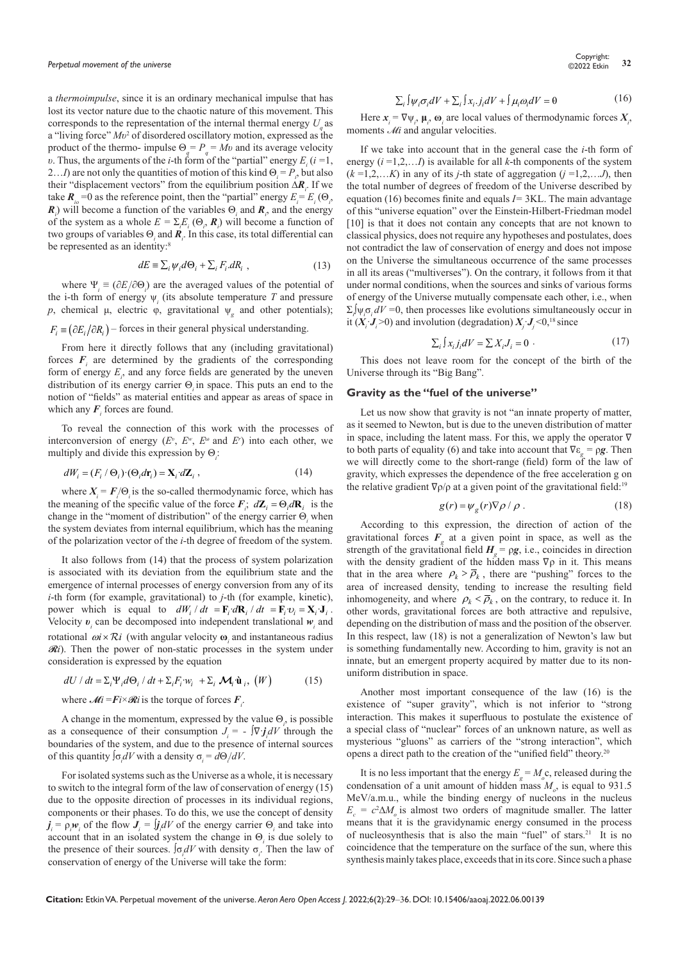a *thermoimpulse*, since it is an ordinary mechanical impulse that has lost its vector nature due to the chaotic nature of this movement. This corresponds to the representation of the internal thermal energy  $U_{\alpha}$  as a "living force" *Мυ*<sup>2</sup> of disordered oscillatory motion, expressed as the product of the thermo- impulse  $\Theta_q = P_q = Mv$  and its average velocity *υ*. Thus, the arguments of the *i*-th form of the "partial" energy  $E_i$  (*i* =1, 2...*I*) are not only the quantities of motion of this kind  $\Theta_i = P_i$ , but also their "displacement vectors" from the equilibrium position ∆*R<sup>i</sup>* . If we take  $\mathbf{R}_{i0} = 0$  as the reference point, then the "partial" energy  $E_i = E_i(\Theta_i)$ ,  $\mathbf{R}_i$ ) will become a function of the variables  $\Theta_i$  and  $\mathbf{R}_i$ , and the energy of the system as a whole  $E = \sum_i E_i (\Theta_i, \mathbf{R}_i)$  will become a function of two groups of variables  $\Theta$ <sub>*i*</sub> and *R*<sub>*i*</sub>. In this case, its total differential can be represented as an identity:<sup>8</sup>

$$
dE \equiv \sum_{i} \psi_{i} d\Theta_{i} + \sum_{i} F_{i} dR_{i} , \qquad (13)
$$

where  $\Psi_i \equiv (\partial E_i/\partial \Theta_i)$  are the averaged values of the potential of the i-th form of energy  $\psi_i$  (its absolute temperature *T* and pressure *р*, chemical μ, electric φ, gravitational ψ*<sup>g</sup>* and other potentials);  $F_i$  =  $(\partial E_i/\partial R_i)$  – forces in their general physical understanding.

From here it directly follows that any (including gravitational) forces  $F_i$  are determined by the gradients of the corresponding form of energy  $E_i$ , and any force fields are generated by the uneven distribution of its energy carrier Θ*i* in space. This puts an end to the notion of "fields" as material entities and appear as areas of space in which any  $F_i$  forces are found.

To reveal the connection of this work with the processes of interconversion of energy  $(E^v, E^w, E^{\omega}$  and  $E^r$ ) into each other, we multiply and divide this expression by Θ*<sup>i</sup>* :

$$
dW_i = (F_i \wedge \Theta_i) \cdot (\Theta_i d\mathbf{r}_i) = \mathbf{X}_i \cdot d\mathbf{Z}_i,
$$
\n(14)

where  $X_i = F/\Theta_i$  is the so-called thermodynamic force, which has the meaning of the specific value of the force  $\mathbf{F}_i$ ;  $d\mathbf{Z}_i = \Theta_i d\mathbf{R}_i$  is the change in the "moment of distribution" of the energy carrier Θ*<sup>i</sup>* when the system deviates from internal equilibrium, which has the meaning of the polarization vector of the *i-*th degree of freedom of the system.

It also follows from (14) that the process of system polarization is associated with its deviation from the equilibrium state and the emergence of internal processes of energy conversion from any of its *i*-th form (for example, gravitational) to *j*-th (for example, kinetic), power which is equal to  $dW_i / dt = \mathbf{F}_i d\mathbf{R}_i / dt = \mathbf{F}_i v_i = \mathbf{X}_i \mathbf{J}_i$ . Velocity  $v_i$  can be decomposed into independent translational  $w_i$  and rotational  $\omega i \times Ri$  (with angular velocity  $\omega$  and instantaneous radius  $\mathcal{R}i$ ). Then the power of non-static processes in the system under consideration is expressed by the equation

$$
dU / dt = \sum_{i} \Psi_{i} d\Theta_{i} / dt + \sum_{i} F_{i} w_{i} + \sum_{i} \mathcal{M}_{i} \dot{\mathbf{u}}_{i}, (W)
$$
 (15)

where  $\mathcal{M}i = \mathbf{F}i \times \mathcal{R}i$  is the torque of forces  $\mathbf{F}_i$ .

A change in the momentum, expressed by the value  $\Theta_i$ , is possible as a consequence of their consumption  $J_i = -\nabla \cdot \mathbf{j}_i dV$  through the boundaries of the system, and due to the presence of internal sources of this quantity  $J\sigma_i dV$  with a density  $\sigma_i = d\Theta_i/dV$ .

For isolated systems such as the Universe as a whole, it is necessary to switch to the integral form of the law of conservation of energy (15) due to the opposite direction of processes in its individual regions, components or their phases. To do this, we use the concept of density  $j_i = \rho_i w_i$  of the flow  $J_i = j_i dV$  of the energy carrier  $\Theta_i$  and take into account that in an isolated system the change in  $\Theta_i$  is due solely to the presence of their sources.  $\int \sigma_i dV$  with density  $\sigma_i$ . Then the law of conservation of energy of the Universe will take the form:

$$
\sum_{i} \int \psi_{i} \sigma_{i} dV + \sum_{i} \int x_{i} \cdot j_{i} dV + \int \mu_{i} \omega_{i} dV = 0 \tag{16}
$$

Here  $x_i = \nabla \psi_i$ ,  $\mu_i$ ,  $\omega_i$  are local values of thermodynamic forces  $X_i$ , moments *Mi* and angular velocities.

If we take into account that in the general case the *i*-th form of energy (*i* =1,2,…*I*) is available for all *k*-th components of the system  $(k=1,2,...K)$  in any of its *j*-th state of aggregation  $(j=1,2,...J)$ , then the total number of degrees of freedom of the Universe described by equation (16) becomes finite and equals *I=* 3KL. The main advantage of this "universe equation" over the Einstein-Hilbert-Friedman model [10] is that it does not contain any concepts that are not known to classical physics, does not require any hypotheses and postulates, does not contradict the law of conservation of energy and does not impose on the Universe the simultaneous occurrence of the same processes in all its areas ("multiverses"). On the contrary, it follows from it that under normal conditions, when the sources and sinks of various forms of energy of the Universe mutually compensate each other, i.e., when  $\Sigma_i \Psi_i \sigma_i dV = 0$ , then processes like evolutions simultaneously occur in it  $(X_i \cdot \mathbf{J}_i > 0)$  and involution (degradation)  $X_j \cdot \mathbf{J}_j < 0$ ,<sup>18</sup> since

$$
\sum_{i} \int x_{i} j_{i} dV = \sum X_{i} J_{i} = 0 \tag{17}
$$

This does not leave room for the concept of the birth of the Universe through its "Big Bang".

# **Gravity as the "fuel of the universe"**

Let us now show that gravity is not "an innate property of matter, as it seemed to Newton, but is due to the uneven distribution of matter in space, including the latent mass. For this, we apply the operator ∇ to both parts of equality (6) and take into account that  $\nabla \varepsilon$ <sub>g</sub> =  $\rho g$ . Then we will directly come to the short-range (field) form of the law of gravity, which expresses the dependence of the free acceleration g on the relative gradient  $\nabla \rho / \rho$  at a given point of the gravitational field:<sup>19</sup>

$$
g(r) = \psi_g(r)\nabla \rho / \rho . \qquad (18)
$$

According to this expression, the direction of action of the gravitational forces  $F<sub>g</sub>$  at a given point in space, as well as the strength of the gravitational field  $H<sub>g</sub> = \rho g$ , i.e., coincides in direction with the density gradient of the hidden mass  $\nabla \rho$  in it. This means that in the area where  $\rho_k > \overline{\rho}_k$ , there are "pushing" forces to the area of increased density, tending to increase the resulting field inhomogeneity, and where  $\rho_k < \overline{\rho}_k$ , on the contrary, to reduce it. In other words, gravitational forces are both attractive and repulsive, depending on the distribution of mass and the position of the observer. In this respect, law (18) is not a generalization of Newton's law but is something fundamentally new. According to him, gravity is not an innate, but an emergent property acquired by matter due to its nonuniform distribution in space.

Another most important consequence of the law (16) is the existence of "super gravity", which is not inferior to "strong interaction. This makes it superfluous to postulate the existence of a special class of "nuclear" forces of an unknown nature, as well as mysterious "gluons" as carriers of the "strong interaction", which opens a direct path to the creation of the "unified field" theory.<sup>20</sup>

It is no less important that the energy  $E_g = M_o$ c, released during the condensation of a unit amount of hidden mass  $M_o$ , is equal to 931.5 MeV/a.m.u., while the binding energy of nucleons in the nucleus  $E_c = c^2 \Delta M_o$  is almost two orders of magnitude smaller. The latter means that it is the gravidynamic energy consumed in the process of nucleosynthesis that is also the main "fuel" of stars.<sup>21</sup> It is no coincidence that the temperature on the surface of the sun, where this synthesis mainly takes place, exceeds that in its core. Since such a phase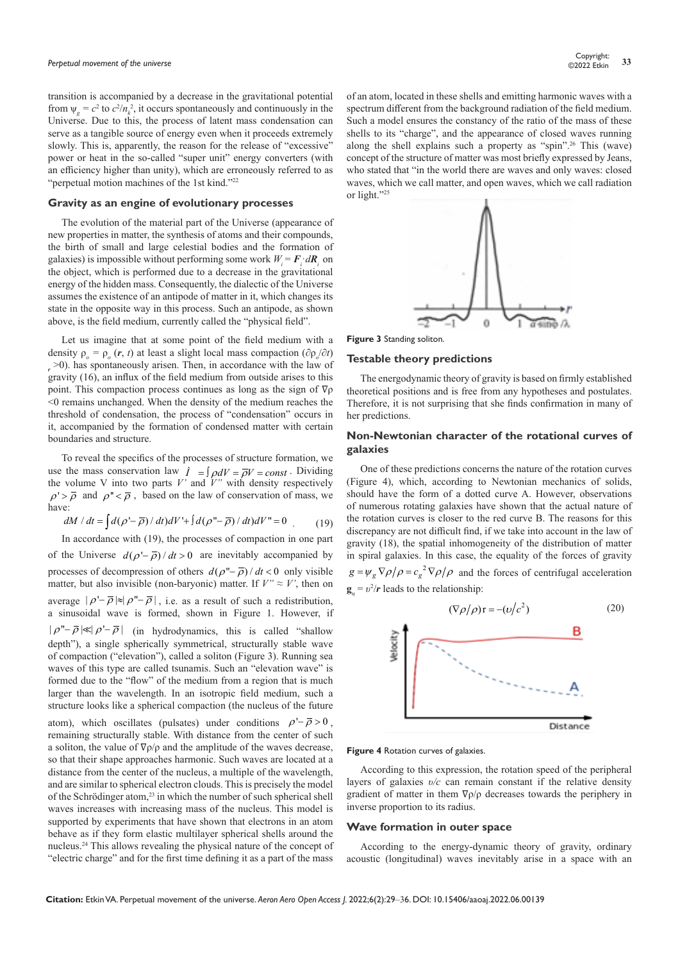transition is accompanied by a decrease in the gravitational potential from  $\psi_g = c^2$  to  $c^2/n_k^2$ , it occurs spontaneously and continuously in the Universe. Due to this, the process of latent mass condensation can serve as a tangible source of energy even when it proceeds extremely slowly. This is, apparently, the reason for the release of "excessive" power or heat in the so-called "super unit" energy converters (with an efficiency higher than unity), which are erroneously referred to as "perpetual motion machines of the 1st kind."22

# **Gravity as an engine of evolutionary processes**

The evolution of the material part of the Universe (appearance of new properties in matter, the synthesis of atoms and their compounds, the birth of small and large celestial bodies and the formation of galaxies) is impossible without performing some work  $W_i = \mathbf{F}_i \cdot d\mathbf{R}_i$  on the object, which is performed due to a decrease in the gravitational energy of the hidden mass. Consequently, the dialectic of the Universe assumes the existence of an antipode of matter in it, which changes its state in the opposite way in this process. Such an antipode, as shown above, is the field medium, currently called the "physical field".

Let us imagine that at some point of the field medium with a density  $\rho_o = \rho_o(r, t)$  at least a slight local mass compaction ( $\partial \rho_o / \partial t$ ) *r* >0). has spontaneously arisen. Then, in accordance with the law of gravity (16), an influx of the field medium from outside arises to this point. This compaction process continues as long as the sign of ∇ρ  $<$ 0 remains unchanged. When the density of the medium reaches the threshold of condensation, the process of "condensation" occurs in it, accompanied by the formation of condensed matter with certain boundaries and structure.

To reveal the specifics of the processes of structure formation, we use the mass conservation law  $\hat{I} = \int \rho dV = \overline{\rho}V = const$ . Dividing the volume V into two parts *V'* and *V"* with density respectively  $\rho' > \overline{\rho}$  and  $\rho'' < \overline{\rho}$ , based on the law of conservation of mass, we have:

$$
dM / dt = \int d(\rho' - \overline{\rho}) / dt) dV' + \int d(\rho'' - \overline{\rho}) / dt) dV'' = 0
$$
 (19)

In accordance with (19), the processes of compaction in one part of the Universe  $d(\rho - \overline{\rho})/dt > 0$  are inevitably accompanied by processes of decompression of others  $d(\rho - \overline{\rho})/dt < 0$  only visible matter, but also invisible (non-baryonic) matter. If  $V'' \approx V'$ , then on average  $|\rho - \overline{\rho}| \approx |\rho - \overline{\rho}|$ , i.e. as a result of such a redistribution, a sinusoidal wave is formed, shown in Figure 1. However, if  $|\rho'' - \overline{\rho}| \ll |\rho' - \overline{\rho}|$  (in hydrodynamics, this is called "shallow" depth"), a single spherically symmetrical, structurally stable wave of compaction ("elevation"), called a soliton (Figure 3). Running sea waves of this type are called tsunamis. Such an "elevation wave" is formed due to the "flow" of the medium from a region that is much larger than the wavelength. In an isotropic field medium, such a structure looks like a spherical compaction (the nucleus of the future

atom), which oscillates (pulsates) under conditions  $\rho - \bar{\rho} > 0$ , remaining structurally stable. With distance from the center of such a soliton, the value of ∇ρ/ρ and the amplitude of the waves decrease, so that their shape approaches harmonic. Such waves are located at a distance from the center of the nucleus, a multiple of the wavelength, and are similar to spherical electron clouds. This is precisely the model of the Schrödinger atom,<sup>23</sup> in which the number of such spherical shell waves increases with increasing mass of the nucleus. This model is supported by experiments that have shown that electrons in an atom behave as if they form elastic multilayer spherical shells around the nucleus.24 This allows revealing the physical nature of the concept of "electric charge" and for the first time defining it as a part of the mass

of an atom, located in these shells and emitting harmonic waves with a spectrum different from the background radiation of the field medium. Such a model ensures the constancy of the ratio of the mass of these shells to its "charge", and the appearance of closed waves running along the shell explains such a property as "spin".26 This (wave) concept of the structure of matter was most briefly expressed by Jeans, who stated that "in the world there are waves and only waves: closed waves, which we call matter, and open waves, which we call radiation or light."25



**Figure 3** Standing soliton.

## **Testable theory predictions**

The energodynamic theory of gravity is based on firmly established theoretical positions and is free from any hypotheses and postulates. Therefore, it is not surprising that she finds confirmation in many of her predictions.

# **Non-Newtonian character of the rotational curves of galaxies**

One of these predictions concerns the nature of the rotation curves (Figure 4), which, according to Newtonian mechanics of solids, should have the form of a dotted curve A. However, observations of numerous rotating galaxies have shown that the actual nature of the rotation curves is closer to the red curve B. The reasons for this discrepancy are not difficult find, if we take into account in the law of gravity (18), the spatial inhomogeneity of the distribution of matter in spiral galaxies. In this case, the equality of the forces of gravity  $g = \psi_g \nabla \rho / \rho = c_g^2 \nabla \rho / \rho$  and the forces of centrifugal acceleration  $\mathbf{g}_{\mu} = v^2/r$  leads to the relationship:



#### **Figure 4** Rotation curves of galaxies.

According to this expression, the rotation speed of the peripheral layers of galaxies *υ/с* can remain constant if the relative density gradient of matter in them  $\nabla \rho / \rho$  decreases towards the periphery in inverse proportion to its radius.

#### **Wave formation in outer space**

According to the energy-dynamic theory of gravity, ordinary acoustic (longitudinal) waves inevitably arise in a space with an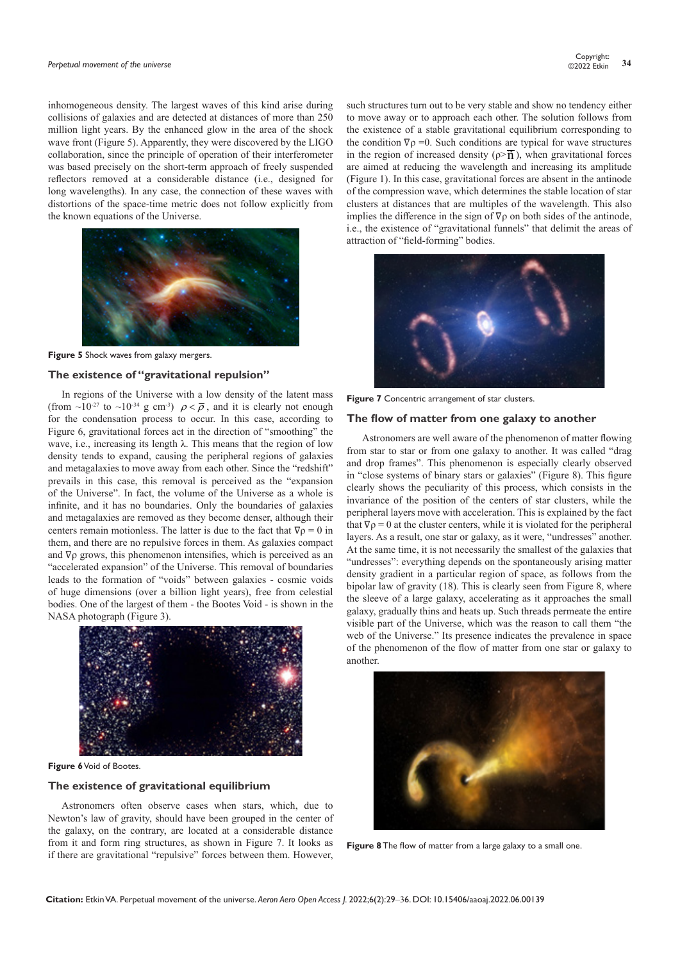inhomogeneous density. The largest waves of this kind arise during collisions of galaxies and are detected at distances of more than 250 million light years. By the enhanced glow in the area of the shock wave front (Figure 5). Apparently, they were discovered by the LIGO collaboration, since the principle of operation of their interferometer was based precisely on the short-term approach of freely suspended reflectors removed at a considerable distance (i.e., designed for long wavelengths). In any case, the connection of these waves with distortions of the space-time metric does not follow explicitly from the known equations of the Universe.



**Figure 5** Shock waves from galaxy mergers.

## **The existence of "gravitational repulsion"**

In regions of the Universe with a low density of the latent mass (from ~10<sup>-27</sup> to ~10<sup>-34</sup> g cm<sup>-3</sup>)  $\rho < \overline{\rho}$ , and it is clearly not enough for the condensation process to occur. In this case, according to Figure 6, gravitational forces act in the direction of "smoothing" the wave, i.e., increasing its length λ. This means that the region of low density tends to expand, causing the peripheral regions of galaxies and metagalaxies to move away from each other. Since the "redshift" prevails in this case, this removal is perceived as the "expansion of the Universe". In fact, the volume of the Universe as a whole is infinite, and it has no boundaries. Only the boundaries of galaxies and metagalaxies are removed as they become denser, although their centers remain motionless. The latter is due to the fact that  $\nabla \rho = 0$  in them, and there are no repulsive forces in them. As galaxies compact and  $\nabla \rho$  grows, this phenomenon intensifies, which is perceived as an "accelerated expansion" of the Universe. This removal of boundaries leads to the formation of "voids" between galaxies - cosmic voids of huge dimensions (over a billion light years), free from celestial bodies. One of the largest of them - the Bootes Void - is shown in the NASA photograph (Figure 3).



**Figure 6** Void of Bootes.

# **The existence of gravitational equilibrium**

Astronomers often observe cases when stars, which, due to Newton's law of gravity, should have been grouped in the center of the galaxy, on the contrary, are located at a considerable distance from it and form ring structures, as shown in Figure 7. It looks as if there are gravitational "repulsive" forces between them. However,

such structures turn out to be very stable and show no tendency either to move away or to approach each other. The solution follows from the existence of a stable gravitational equilibrium corresponding to the condition  $\nabla \rho = 0$ . Such conditions are typical for wave structures in the region of increased density ( $\rho \geq \overline{\mathbf{n}}$ ), when gravitational forces are aimed at reducing the wavelength and increasing its amplitude (Figure 1). In this case, gravitational forces are absent in the antinode of the compression wave, which determines the stable location of star clusters at distances that are multiples of the wavelength. This also implies the difference in the sign of ∇ρ on both sides of the antinode, i.e., the existence of "gravitational funnels" that delimit the areas of attraction of "field-forming" bodies.



**Figure 7** Concentric arrangement of star clusters.

## **The flow of matter from one galaxy to another**

 Astronomers are well aware of the phenomenon of matter flowing from star to star or from one galaxy to another. It was called "drag and drop frames". This phenomenon is especially clearly observed in "close systems of binary stars or galaxies" (Figure 8). This figure clearly shows the peculiarity of this process, which consists in the invariance of the position of the centers of star clusters, while the peripheral layers move with acceleration. This is explained by the fact that  $\nabla \rho = 0$  at the cluster centers, while it is violated for the peripheral layers. As a result, one star or galaxy, as it were, "undresses" another. At the same time, it is not necessarily the smallest of the galaxies that "undresses": everything depends on the spontaneously arising matter density gradient in a particular region of space, as follows from the bipolar law of gravity (18). This is clearly seen from Figure 8, where the sleeve of a large galaxy, accelerating as it approaches the small galaxy, gradually thins and heats up. Such threads permeate the entire visible part of the Universe, which was the reason to call them "the web of the Universe." Its presence indicates the prevalence in space of the phenomenon of the flow of matter from one star or galaxy to another.



**Figure 8** The flow of matter from a large galaxy to a small one.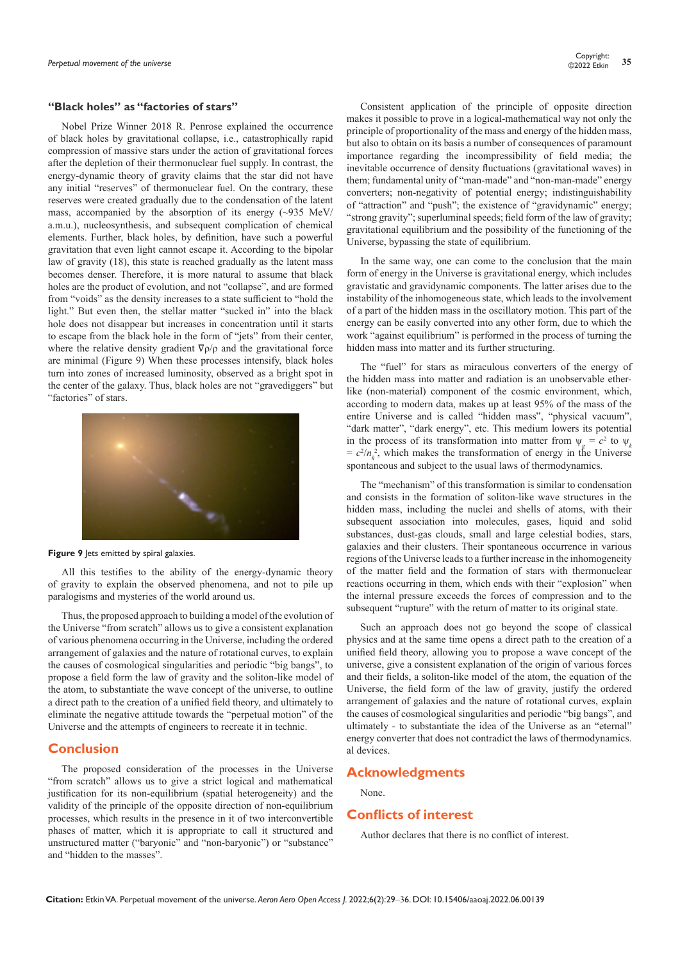## **"Black holes" as "factories of stars"**

Nobel Prize Winner 2018 R. Penrose explained the occurrence of black holes by gravitational collapse, i.e., catastrophically rapid compression of massive stars under the action of gravitational forces after the depletion of their thermonuclear fuel supply. In contrast, the energy-dynamic theory of gravity claims that the star did not have any initial "reserves" of thermonuclear fuel. On the contrary, these reserves were created gradually due to the condensation of the latent mass, accompanied by the absorption of its energy  $(\sim 935 \text{ MeV})$ a.m.u.), nucleosynthesis, and subsequent complication of chemical elements. Further, black holes, by definition, have such a powerful gravitation that even light cannot escape it. According to the bipolar law of gravity (18), this state is reached gradually as the latent mass becomes denser. Therefore, it is more natural to assume that black holes are the product of evolution, and not "collapse", and are formed from "voids" as the density increases to a state sufficient to "hold the light." But even then, the stellar matter "sucked in" into the black hole does not disappear but increases in concentration until it starts to escape from the black hole in the form of "jets" from their center, where the relative density gradient  $\nabla \rho / \rho$  and the gravitational force are minimal (Figure 9) When these processes intensify, black holes turn into zones of increased luminosity, observed as a bright spot in the center of the galaxy. Thus, black holes are not "gravediggers" but "factories" of stars.



**Figure 9** Jets emitted by spiral galaxies.

All this testifies to the ability of the energy-dynamic theory of gravity to explain the observed phenomena, and not to pile up paralogisms and mysteries of the world around us.

Thus, the proposed approach to building a model of the evolution of the Universe "from scratch" allows us to give a consistent explanation of various phenomena occurring in the Universe, including the ordered arrangement of galaxies and the nature of rotational curves, to explain the causes of cosmological singularities and periodic "big bangs", to propose a field form the law of gravity and the soliton-like model of the atom, to substantiate the wave concept of the universe, to outline a direct path to the creation of a unified field theory, and ultimately to eliminate the negative attitude towards the "perpetual motion" of the Universe and the attempts of engineers to recreate it in technic.

# **Conclusion**

The proposed consideration of the processes in the Universe "from scratch" allows us to give a strict logical and mathematical justification for its non-equilibrium (spatial heterogeneity) and the validity of the principle of the opposite direction of non-equilibrium processes, which results in the presence in it of two interconvertible phases of matter, which it is appropriate to call it structured and unstructured matter ("baryonic" and "non-baryonic") or "substance" and "hidden to the masses".

Consistent application of the principle of opposite direction makes it possible to prove in a logical-mathematical way not only the principle of proportionality of the mass and energy of the hidden mass, but also to obtain on its basis a number of consequences of paramount importance regarding the incompressibility of field media; the inevitable occurrence of density fluctuations (gravitational waves) in them; fundamental unity of "man-made" and "non-man-made" energy converters; non-negativity of potential energy; indistinguishability of "attraction" and "push"; the existence of "gravidynamic" energy; "strong gravity"; superluminal speeds; field form of the law of gravity; gravitational equilibrium and the possibility of the functioning of the Universe, bypassing the state of equilibrium.

In the same way, one can come to the conclusion that the main form of energy in the Universe is gravitational energy, which includes gravistatic and gravidynamic components. The latter arises due to the instability of the inhomogeneous state, which leads to the involvement of a part of the hidden mass in the oscillatory motion. This part of the energy can be easily converted into any other form, due to which the work "against equilibrium" is performed in the process of turning the hidden mass into matter and its further structuring.

The "fuel" for stars as miraculous converters of the energy of the hidden mass into matter and radiation is an unobservable etherlike (non-material) component of the cosmic environment, which, according to modern data, makes up at least 95% of the mass of the entire Universe and is called "hidden mass", "physical vacuum", "dark matter", "dark energy", etc. This medium lowers its potential in the process of its transformation into matter from  $\psi_g = c^2$  to  $\psi_k$  $= c^2/n_k^2$ , which makes the transformation of energy in the Universe spontaneous and subject to the usual laws of thermodynamics.

The "mechanism" of this transformation is similar to condensation and consists in the formation of soliton-like wave structures in the hidden mass, including the nuclei and shells of atoms, with their subsequent association into molecules, gases, liquid and solid substances, dust-gas clouds, small and large celestial bodies, stars, galaxies and their clusters. Their spontaneous occurrence in various regions of the Universe leads to a further increase in the inhomogeneity of the matter field and the formation of stars with thermonuclear reactions occurring in them, which ends with their "explosion" when the internal pressure exceeds the forces of compression and to the subsequent "rupture" with the return of matter to its original state.

Such an approach does not go beyond the scope of classical physics and at the same time opens a direct path to the creation of a unified field theory, allowing you to propose a wave concept of the universe, give a consistent explanation of the origin of various forces and their fields, a soliton-like model of the atom, the equation of the Universe, the field form of the law of gravity, justify the ordered arrangement of galaxies and the nature of rotational curves, explain the causes of cosmological singularities and periodic "big bangs", and ultimately - to substantiate the idea of the Universe as an "eternal" energy converter that does not contradict the laws of thermodynamics. al devices.

# **Acknowledgments**

# None.

# **Conflicts of interest**

Author declares that there is no conflict of interest.